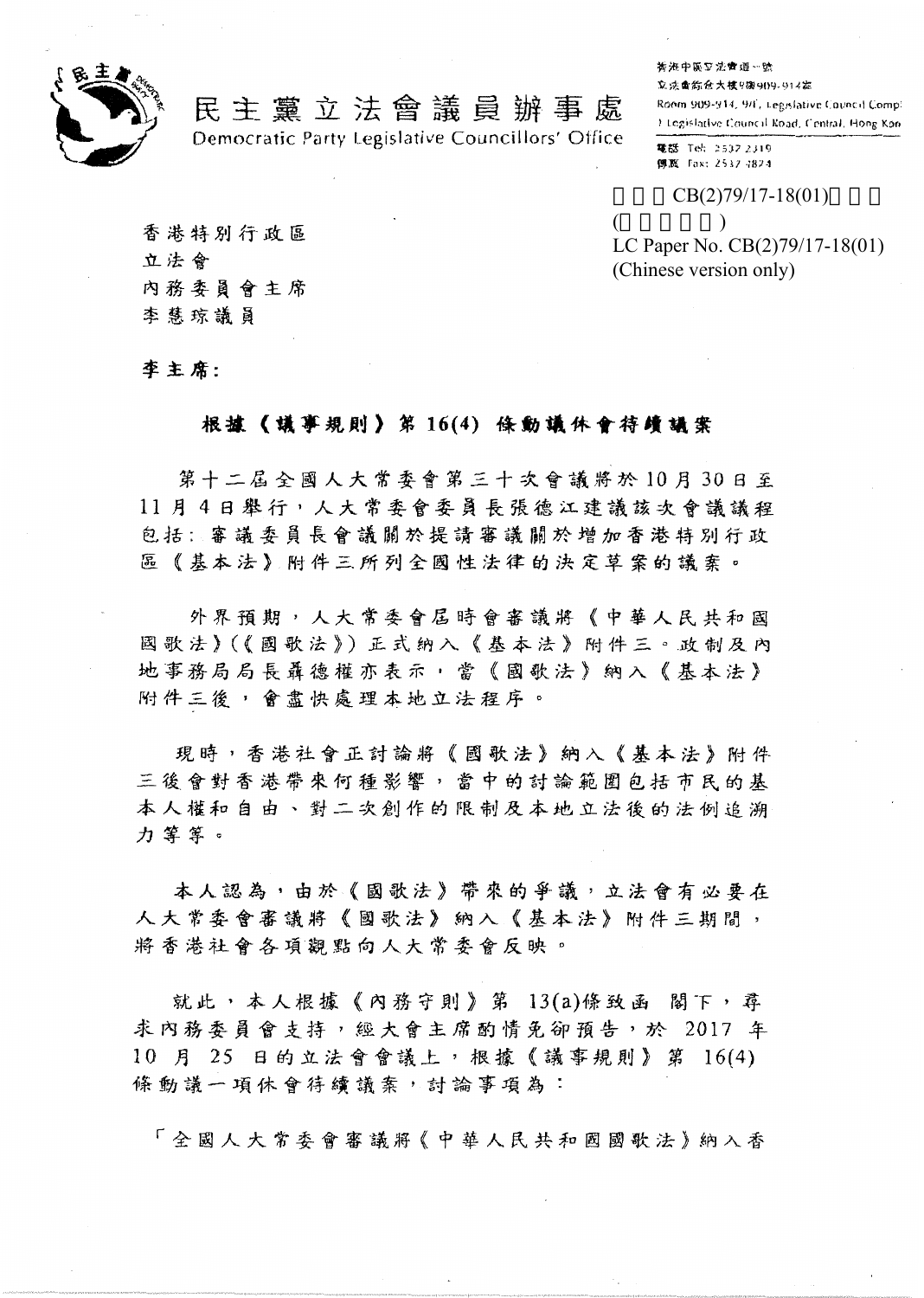

## 民主 黨 立 法 會 議 員 辦 事 處

Democratic Party Legislative Councillors' Office

**香港中區豆法會運…號** 

立法重新危大捷9撮909-914器

Room 909-914, 9/F. Legislative Council Comp: I Legislative Council Road, Central, Hong Koo.

笔器 Tel: 2537 2319 **傳源** Fax: 2537-1824

 $CB(2)79/17-18(01)$ 

 $($   $)$ LC Paper No. CB(2)79/17-18(01) (Chinese version only)

香港特别行政區 立法會 內務委員會主席 李慧琼議員

李主席:

## 根據《議事規則》第16(4) 條動議休會待續議案

第十二屆全國人大常委會第三十次會議將於10月30日至 11月4日舉行,人大常委會委員長張德江建議該次會議議程 包括:審議委員長會議關於提請審議關於增加香港特別行政 區《基本法》附件三所列全國性法律的決定草案的議案。

外界預期,人大常委會屆時會審議將《中華人民共和國 國歌法》(《國歌法》)正式纳入《基本法》附件三。政制及內 地事務局局長聶德權亦表示,當《國歌法》納入《基本法》 附件三後,會盡快處理本地立法程序。

現時,香港社會正討論將《國歌法》納入《基本法》附件 三後會對香港帶來何種影響,當中的討論範圍包括市民的基 本人權和自由、對二次創作的限制及本地立法後的法例追溯 力 **第**章。

本人認為,由於《國歌法》帶來的爭議,立法會有必要在 人大常委會審議將《國歌法》納入《基本法》附件三期間, 將香港社會各項觀點向人大常委會反映。

就此,本人根據《內務守則》第 13(a)條致函 閣下,尋 求內務委員會支持,經大會主席酌情免卻預告,於 2017 年 10 月 25 日的立法會會議上, 根據《議事規則》第 16(4) 條動議一項休會待續議案,討論事項為:

「全國人大常委會審議將《中華人民共和國國歌法》納入香